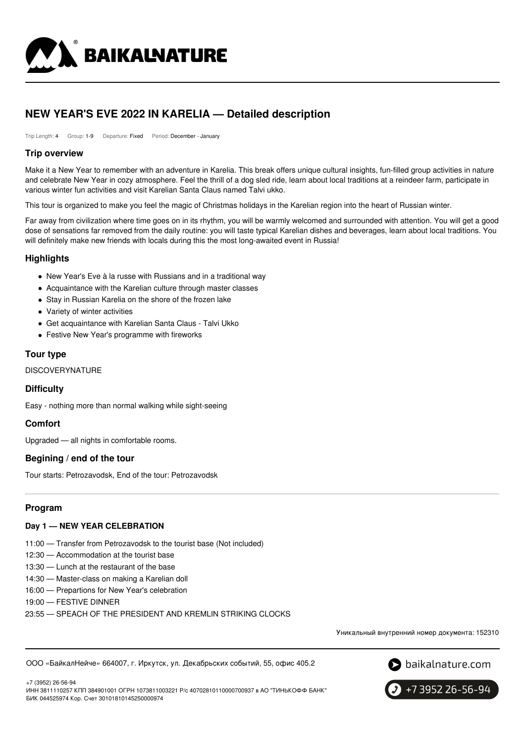

# **NEW YEAR'S EVE 2022 IN KARELIA — Detailed description**

Trip Length: 4 Group: 1-9 Departure: Fixed Period: December - January

### **Trip overview**

Make it a New Year to remember with an adventure in Karelia. This break offers unique cultural insights, fun-filled group activities in nature and celebrate New Year in cozy atmosphere. Feel the thrill of a dog sled ride, learn about local traditions at a reindeer farm, participate in various winter fun activities and visit Karelian Santa Claus named Talvi ukko.

This tour is organized to make you feel the magic of Christmas holidays in the Karelian region into the heart of Russian winter.

Far away from civilization where time goes on in its rhythm, you will be warmly welcomed and surrounded with attention. You will get a good dose of sensations far removed from the daily routine: you will taste typical Karelian dishes and beverages, learn about local traditions. You will definitely make new friends with locals during this the most long-awaited event in Russia!

## **Highlights**

- New Year's Eve à la russe with Russians and in a traditional way
- Acquaintance with the Karelian culture through master classes
- Stay in Russian Karelia on the shore of the frozen lake
- Variety of winter activities
- Get acquaintance with Karelian Santa Claus Talvi Ukko
- Festive New Year's programme with fireworks

## **Tour type**

DISCOVERYNATURE

### **Difficulty**

Easy - nothing more than normal walking while sight-seeing

### **Comfort**

Upgraded — all nights in comfortable rooms.

### **Begining / end of the tour**

Tour starts: Petrozavodsk, End of the tour: Petrozavodsk

# **Program**

### **Day 1 — NEW YEAR CELEBRATION**

- 11:00 Transfer from Petrozavodsk to the tourist base (Not included)
- 12:30 Accommodation at the tourist base
- 13:30 Lunch at the restaurant of the base
- 14:30 Master-class on making a Karelian doll
- 16:00 Prepartions for New Year's celebration
- 19:00 FESTIVE DINNER

23:55 — SPEACH OF THE PRESIDENT AND KREMLIN STRIKING CLOCKS

Уникальный внутренний номер документа: 152310

ООО «БайкалНейче» 664007, г. Иркутск, ул. Декабрьских событий, 55, офис 405.2



+7 (3952) 26-56-94 ИНН 3811110257 КПП 384901001 ОГРН 1073811003221 Р/с 40702810110000700937 в АО "ТИНЬКОФФ БАНК" БИК 044525974 Кор. Счет 30101810145250000974

+7 3952 26-56-94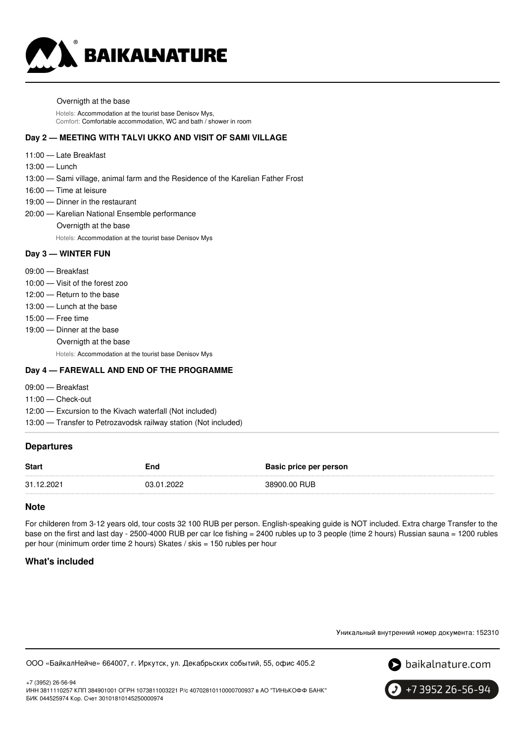

#### Overnigth at the base

Hotels: Accommodation at the tourist base Denisov Mys, Comfort: Comfortable accommodation, WC and bath / shower in room

#### **Day 2 — MEETING WITH TALVI UKKO AND VISIT OF SAMI VILLAGE**

- 11:00 Late Breakfast
- 13:00 Lunch
- 13:00 Sami village, animal farm and the Residence of the Karelian Father Frost
- 16:00 Time at leisure
- 19:00 Dinner in the restaurant
- 20:00 Karelian National Ensemble performance

Overnigth at the base

Hotels: Accommodation at the tourist base Denisov Mys

#### **Day 3 — WINTER FUN**

- 09:00 Breakfast
- 10:00 Visit of the forest zoo
- 12:00 Return to the base
- 13:00 Lunch at the base
- 15:00 Free time
- 19:00 Dinner at the base
	- Overnigth at the base

Hotels: Accommodation at the tourist base Denisov Mys

#### **Day 4 — FAREWALL AND END OF THE PROGRAMME**

- 09:00 Breakfast
- 11:00 Check-out
- 12:00 Excursion to the Kivach waterfall (Not included)
- 13:00 Transfer to Petrozavodsk railway station (Not included)

#### **Departures**

| <b>Start</b> | End        | Basic price per person |
|--------------|------------|------------------------|
| 31.12.2021   | 03.01.2022 | 38900.00 RUB           |

#### **Note**

For childeren from 3-12 years old, tour costs 32 100 RUB per person. English-speaking guide is NOT included. Extra charge Transfer to the base on the first and last day - 2500-4000 RUB per car Ice fishing = 2400 rubles up to 3 people (time 2 hours) Russian sauna = 1200 rubles per hour (minimum order time 2 hours) Skates / skis = 150 rubles per hour

#### **What's included**



ООО «БайкалНейче» 664007, г. Иркутск, ул. Декабрьских событий, 55, офис 405.2



+7 (3952) 26-56-94 ИНН 3811110257 КПП 384901001 ОГРН 1073811003221 Р/с 40702810110000700937 в АО "ТИНЬКОФФ БАНК" БИК 044525974 Кор. Счет 30101810145250000974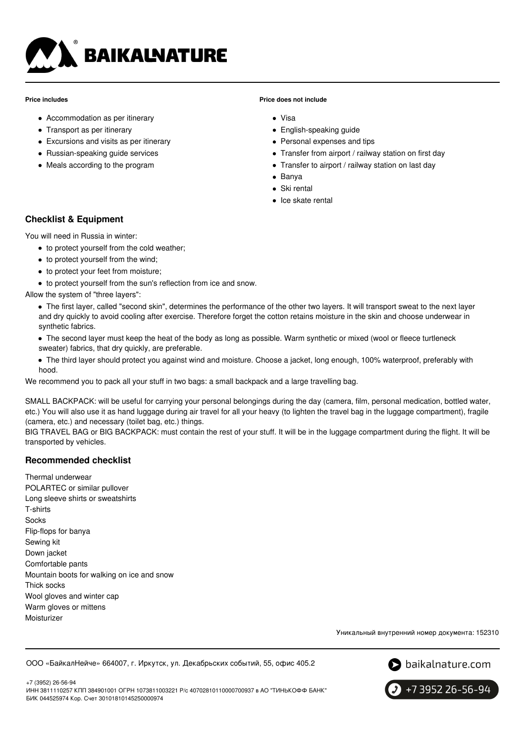

#### **Price includes**

- Accommodation as per itinerary
- Transport as per itinerary
- Excursions and visits as per itinerary
- Russian-speaking quide services
- Meals according to the program

#### **Price does not include**

- Visa
- English-speaking guide
- Personal expenses and tips
- Transfer from airport / railway station on first day
- Transfer to airport / railway station on last day
- Banya
- Ski rental
- Ice skate rental

# **Checklist & Equipment**

You will need in Russia in winter:

- to protect yourself from the cold weather;
- to protect yourself from the wind;
- to protect your feet from moisture;
- to protect yourself from the sun's reflection from ice and snow.

Allow the system of "three layers":

- The first layer, called "second skin", determines the performance of the other two layers. It will transport sweat to the next layer and dry quickly to avoid cooling after exercise. Therefore forget the cotton retains moisture in the skin and choose underwear in synthetic fabrics.
- The second layer must keep the heat of the body as long as possible. Warm synthetic or mixed (wool or fleece turtleneck sweater) fabrics, that dry quickly, are preferable.
- The third layer should protect you against wind and moisture. Choose a jacket, long enough, 100% waterproof, preferably with hood.

We recommend you to pack all your stuff in two bags: a small backpack and a large travelling bag.

SMALL BACKPACK: will be useful for carrying your personal belongings during the day (camera, film, personal medication, bottled water, etc.) You will also use it as hand luggage during air travel for all your heavy (to lighten the travel bag in the luggage compartment), fragile (camera, etc.) and necessary (toilet bag, etc.) things.

BIG TRAVEL BAG or BIG BACKPACK: must contain the rest of your stuff. It will be in the luggage compartment during the flight. It will be transported by vehicles.

# **Recommended checklist**

Thermal underwear POLARTEC or similar pullover Long sleeve shirts or sweatshirts T-shirts **Socks** Flip-flops for banya Sewing kit Down jacket Comfortable pants Mountain boots for walking on ice and snow Thick socks Wool gloves and winter cap Warm gloves or mittens Moisturizer

Уникальный внутренний номер документа: 152310

ООО «БайкалНейче» 664007, г. Иркутск, ул. Декабрьских событий, 55, офис 405.2



+7 (3952) 26-56-94 ИНН 3811110257 КПП 384901001 ОГРН 1073811003221 Р/с 40702810110000700937 в АО "ТИНЬКОФФ БАНК" БИК 044525974 Кор. Счет 30101810145250000974